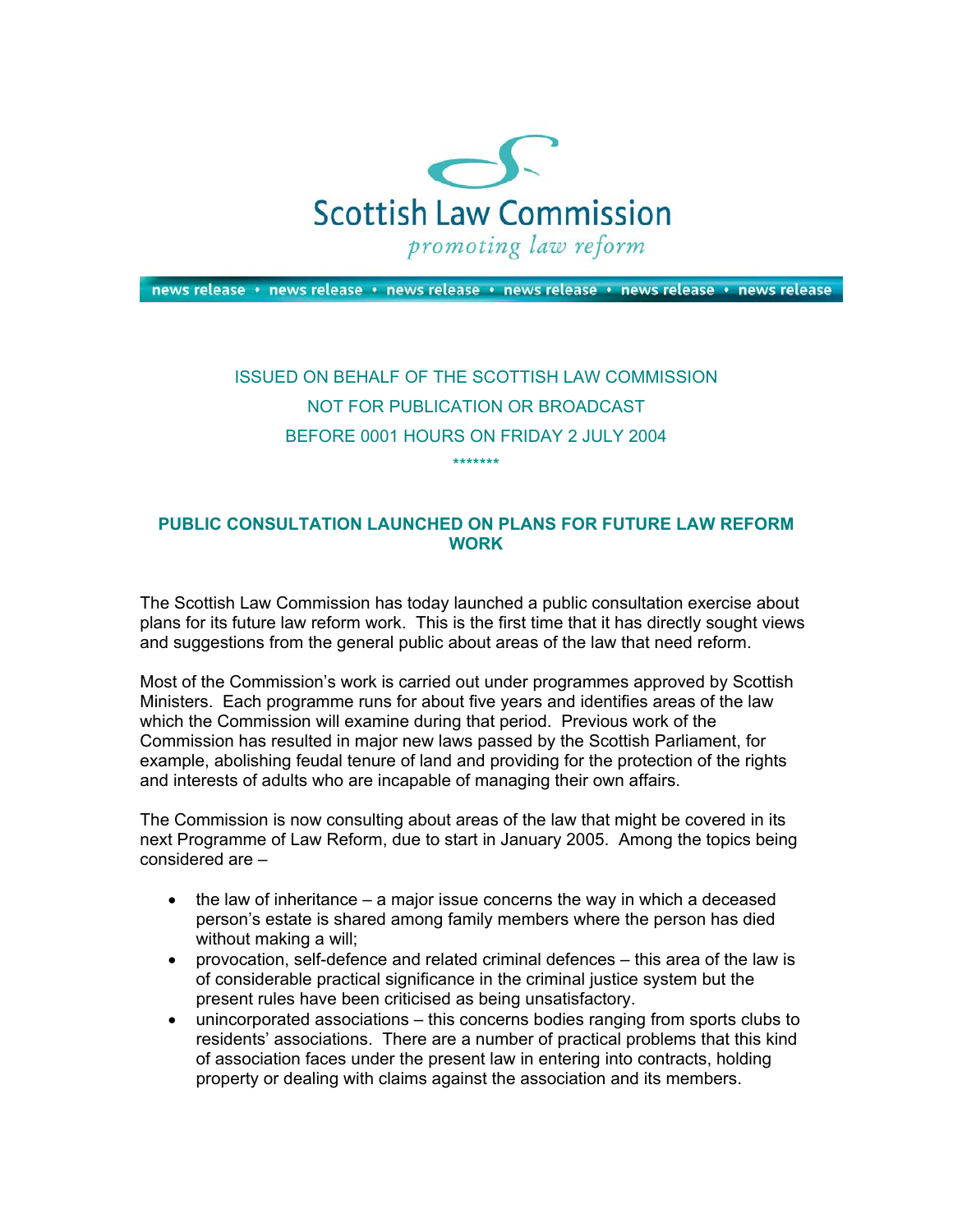

news release • news release • news release • news release • news release • news release

## ISSUED ON BEHALF OF THE SCOTTISH LAW COMMISSION NOT FOR PUBLICATION OR BROADCAST BEFORE 0001 HOURS ON FRIDAY 2 JULY 2004 \*\*\*\*\*\*\*

## **PUBLIC CONSULTATION LAUNCHED ON PLANS FOR FUTURE LAW REFORM WORK**

The Scottish Law Commission has today launched a public consultation exercise about plans for its future law reform work. This is the first time that it has directly sought views and suggestions from the general public about areas of the law that need reform.

Most of the Commission's work is carried out under programmes approved by Scottish Ministers. Each programme runs for about five years and identifies areas of the law which the Commission will examine during that period. Previous work of the Commission has resulted in major new laws passed by the Scottish Parliament, for example, abolishing feudal tenure of land and providing for the protection of the rights and interests of adults who are incapable of managing their own affairs.

The Commission is now consulting about areas of the law that might be covered in its next Programme of Law Reform, due to start in January 2005. Among the topics being considered are –

- the law of inheritance  $-$  a major issue concerns the way in which a deceased person's estate is shared among family members where the person has died without making a will;
- provocation, self-defence and related criminal defences this area of the law is of considerable practical significance in the criminal justice system but the present rules have been criticised as being unsatisfactory.
- unincorporated associations this concerns bodies ranging from sports clubs to residents' associations. There are a number of practical problems that this kind of association faces under the present law in entering into contracts, holding property or dealing with claims against the association and its members.